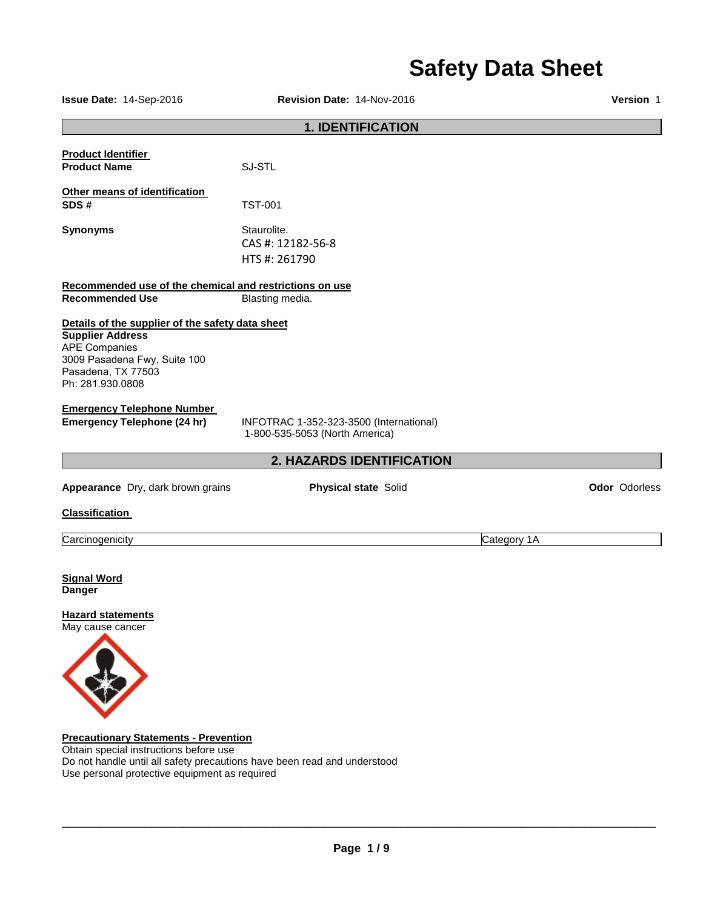# **Safety Data Sheet**

| Issue Date: 14-Sep-2016                                                                                                                                                       | Version 1                                                                 |               |
|-------------------------------------------------------------------------------------------------------------------------------------------------------------------------------|---------------------------------------------------------------------------|---------------|
|                                                                                                                                                                               | <b>1. IDENTIFICATION</b>                                                  |               |
| <b>Product Identifier</b><br><b>Product Name</b>                                                                                                                              | SJ-STL                                                                    |               |
| Other means of identification<br>SDS#                                                                                                                                         | <b>TST-001</b>                                                            |               |
| <b>Synonyms</b>                                                                                                                                                               | Staurolite.<br>CAS #: 12182-56-8<br>HTS #: 261790                         |               |
| Recommended use of the chemical and restrictions on use<br><b>Recommended Use</b>                                                                                             | Blasting media.                                                           |               |
| Details of the supplier of the safety data sheet<br><b>Supplier Address</b><br><b>APE Companies</b><br>3009 Pasadena Fwy, Suite 100<br>Pasadena, TX 77503<br>Ph: 281.930.0808 |                                                                           |               |
| <b>Emergency Telephone Number</b><br><b>Emergency Telephone (24 hr)</b>                                                                                                       | INFOTRAC 1-352-323-3500 (International)<br>1-800-535-5053 (North America) |               |
|                                                                                                                                                                               | 2. HAZARDS IDENTIFICATION                                                 |               |
| Appearance Dry, dark brown grains                                                                                                                                             | <b>Physical state Solid</b>                                               | Odor Odorless |
| <b>Classification</b>                                                                                                                                                         |                                                                           |               |
| Carcinogenicity                                                                                                                                                               |                                                                           | Category 1A   |
| <b>Signal Word</b><br><b>Danger</b><br><b>Hazard statements</b><br>May cause cancer                                                                                           |                                                                           |               |
| <b>Precautionary Statements - Prevention</b><br>Obtain concial instructions before use                                                                                        |                                                                           |               |

Obtain special instructions before use Do not handle until all safety precautions have been read and understood Use personal protective equipment as required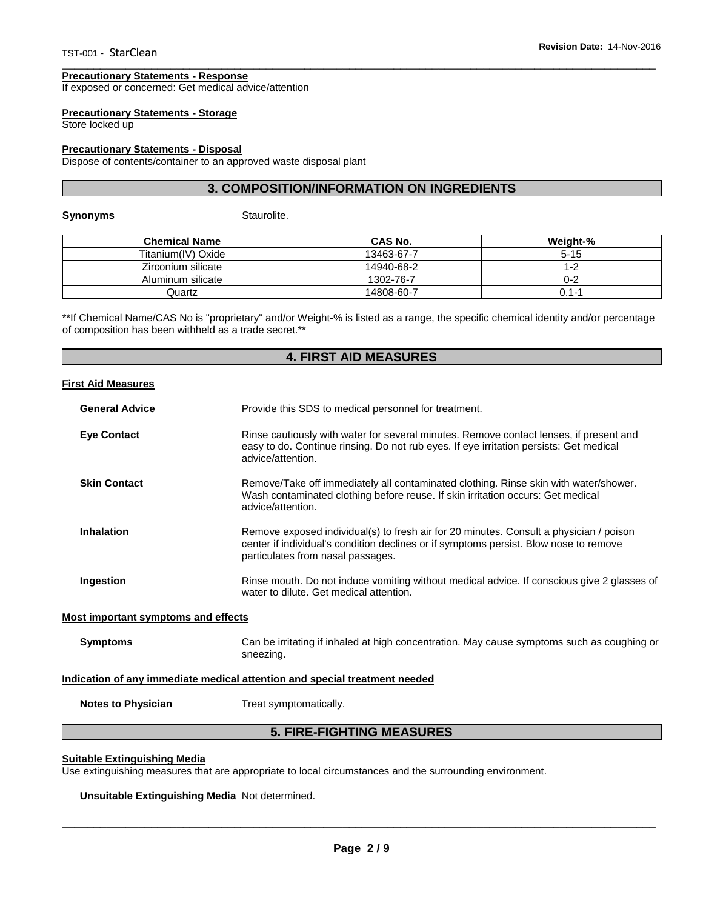#### **Precautionary Statements - Response**

If exposed or concerned: Get medical advice/attention

### **Precautionary Statements - Storage**

Store locked up

### **Precautionary Statements - Disposal**

Dispose of contents/container to an approved waste disposal plant

### **3. COMPOSITION/INFORMATION ON INGREDIENTS**

\_\_\_\_\_\_\_\_\_\_\_\_\_\_\_\_\_\_\_\_\_\_\_\_\_\_\_\_\_\_\_\_\_\_\_\_\_\_\_\_\_\_\_\_\_\_\_\_\_\_\_\_\_\_\_\_\_\_\_\_\_\_\_\_\_\_\_\_\_\_\_\_\_\_\_\_\_\_\_\_\_\_\_\_\_\_\_\_\_\_\_\_\_

**Synonyms Staurolite.** 

| <b>Chemical Name</b> | CAS No.    | Weight-% |
|----------------------|------------|----------|
| Titanium(IV) Oxide   | 13463-67-7 | $5 - 15$ |
| Zirconium silicate   | 14940-68-2 | $1 - 2$  |
| Aluminum silicate    | 1302-76-7  | 0-2      |
| Quartz               | 14808-60-7 | 0.1-1    |

\*\*If Chemical Name/CAS No is "proprietary" and/or Weight-% is listed as a range, the specific chemical identity and/or percentage of composition has been withheld as a trade secret.\*\*

# **4. FIRST AID MEASURES**

#### **First Aid Measures**

| <b>General Advice</b> | Provide this SDS to medical personnel for treatment.                                                                                                                                                                 |
|-----------------------|----------------------------------------------------------------------------------------------------------------------------------------------------------------------------------------------------------------------|
| <b>Eye Contact</b>    | Rinse cautiously with water for several minutes. Remove contact lenses, if present and<br>easy to do. Continue rinsing. Do not rub eyes. If eye irritation persists: Get medical<br>advice/attention.                |
| <b>Skin Contact</b>   | Remove/Take off immediately all contaminated clothing. Rinse skin with water/shower.<br>Wash contaminated clothing before reuse. If skin irritation occurs: Get medical<br>advice/attention.                         |
| Inhalation            | Remove exposed individual(s) to fresh air for 20 minutes. Consult a physician / poison<br>center if individual's condition declines or if symptoms persist. Blow nose to remove<br>particulates from nasal passages. |
| Ingestion             | Rinse mouth. Do not induce vomiting without medical advice. If conscious give 2 glasses of<br>water to dilute. Get medical attention.                                                                                |

#### **Most important symptoms and effects**

**Symptoms** Can be irritating if inhaled at high concentration. May cause symptoms such as coughing or sneezing.

### **Indication of any immediate medical attention and special treatment needed**

**Notes to Physician**  Treat symptomatically.

# **5. FIRE-FIGHTING MEASURES**

### **Suitable Extinguishing Media**

Use extinguishing measures that are appropriate to local circumstances and the surrounding environment.

### **Unsuitable Extinguishing Media** Not determined.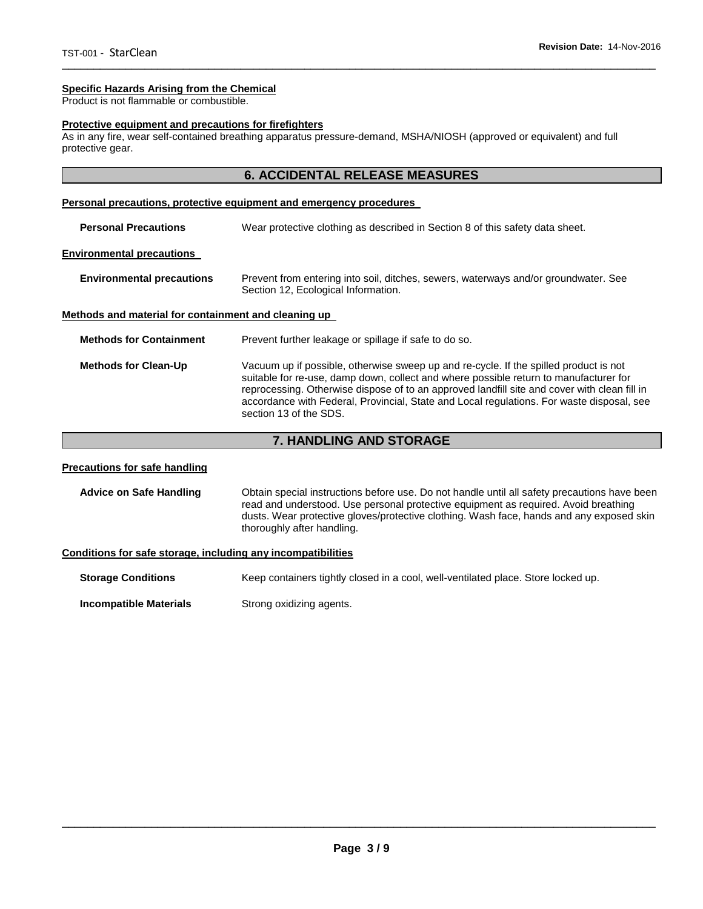# **Specific Hazards Arising from the Chemical**

Product is not flammable or combustible.

### **Protective equipment and precautions for firefighters**

As in any fire, wear self-contained breathing apparatus pressure-demand, MSHA/NIOSH (approved or equivalent) and full protective gear.

# **6. ACCIDENTAL RELEASE MEASURES**

### **Personal precautions, protective equipment and emergency procedures**

| <b>Personal Precautions</b>                          | Wear protective clothing as described in Section 8 of this safety data sheet.                                                                                                                                                                                                                                                                                                                         |
|------------------------------------------------------|-------------------------------------------------------------------------------------------------------------------------------------------------------------------------------------------------------------------------------------------------------------------------------------------------------------------------------------------------------------------------------------------------------|
| <b>Environmental precautions</b>                     |                                                                                                                                                                                                                                                                                                                                                                                                       |
| <b>Environmental precautions</b>                     | Prevent from entering into soil, ditches, sewers, waterways and/or groundwater. See<br>Section 12, Ecological Information.                                                                                                                                                                                                                                                                            |
| Methods and material for containment and cleaning up |                                                                                                                                                                                                                                                                                                                                                                                                       |
| <b>Methods for Containment</b>                       | Prevent further leakage or spillage if safe to do so.                                                                                                                                                                                                                                                                                                                                                 |
| <b>Methods for Clean-Up</b>                          | Vacuum up if possible, otherwise sweep up and re-cycle. If the spilled product is not<br>suitable for re-use, damp down, collect and where possible return to manufacturer for<br>reprocessing. Otherwise dispose of to an approved landfill site and cover with clean fill in<br>accordance with Federal, Provincial, State and Local regulations. For waste disposal, see<br>section 13 of the SDS. |

# **7. HANDLING AND STORAGE**

# **Precautions for safe handling**

**Advice on Safe Handling** Obtain special instructions before use. Do not handle until all safety precautions have been read and understood. Use personal protective equipment as required. Avoid breathing dusts. Wear protective gloves/protective clothing. Wash face, hands and any exposed skin thoroughly after handling.

### **Conditions for safe storage, including any incompatibilities**

**Storage Conditions Keep containers tightly closed in a cool, well-ventilated place. Store locked up.** 

**Incompatible Materials Strong oxidizing agents.**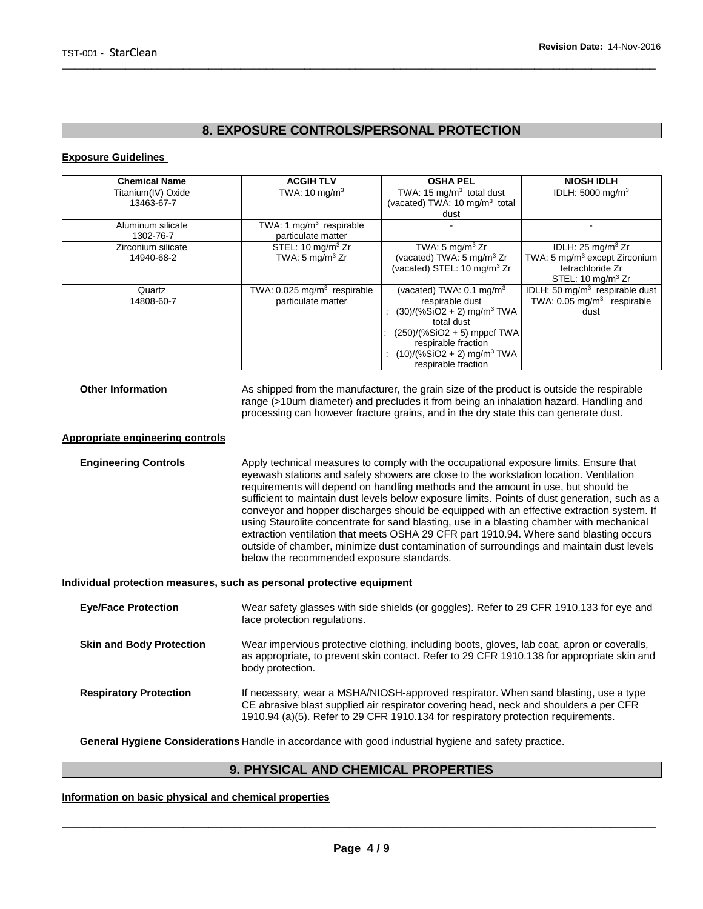# **8. EXPOSURE CONTROLS/PERSONAL PROTECTION**

\_\_\_\_\_\_\_\_\_\_\_\_\_\_\_\_\_\_\_\_\_\_\_\_\_\_\_\_\_\_\_\_\_\_\_\_\_\_\_\_\_\_\_\_\_\_\_\_\_\_\_\_\_\_\_\_\_\_\_\_\_\_\_\_\_\_\_\_\_\_\_\_\_\_\_\_\_\_\_\_\_\_\_\_\_\_\_\_\_\_\_\_\_

### **Exposure Guidelines**

| <b>Chemical Name</b> | <b>ACGIH TLV</b>                          | <b>OSHA PEL</b>                           | <b>NIOSH IDLH</b>                         |
|----------------------|-------------------------------------------|-------------------------------------------|-------------------------------------------|
| Titanium(IV) Oxide   | TWA: $10 \text{ mg/m}^3$                  | TWA: 15 $mq/m3$ total dust                | IDLH: $5000 \text{ mg/m}^3$               |
| 13463-67-7           |                                           | (vacated) TWA: 10 mg/m <sup>3</sup> total |                                           |
|                      |                                           | dust                                      |                                           |
| Aluminum silicate    | TWA: 1 $mg/m3$ respirable                 |                                           |                                           |
| 1302-76-7            | particulate matter                        |                                           |                                           |
| Zirconium silicate   | STEL: $10 \text{ mg/m}^3$ Zr              | TWA: $5 \text{ mg/m}^3$ Zr                | IDLH: $25 \text{ mg/m}^3$ Zr              |
| 14940-68-2           | TWA: 5 mg/m <sup>3</sup> Zr               | (vacated) TWA: 5 mg/m <sup>3</sup> Zr     | TWA: 5 mg/m <sup>3</sup> except Zirconium |
|                      |                                           | (vacated) STEL: 10 mg/m <sup>3</sup> Zr   | tetrachloride Zr                          |
|                      |                                           |                                           | STEL: $10 \text{ mg/m}^3$ Zr              |
| Quartz               | TWA: $0.025$ mg/m <sup>3</sup> respirable | (vacated) TWA: $0.1 \text{ mg/m}^3$       | IDLH: 50 $mq/m3$ respirable dust          |
| 14808-60-7           | particulate matter                        | respirable dust                           | TWA: 0.05 mg/m <sup>3</sup> respirable    |
|                      |                                           | $(30)/(%SiO2 + 2)$ mg/m <sup>3</sup> TWA  | dust                                      |
|                      |                                           | total dust                                |                                           |
|                      |                                           | $(250)/(%SiO2 + 5)$ mppcf TWA             |                                           |
|                      |                                           | respirable fraction                       |                                           |
|                      |                                           | $(10)/(%SiO2 + 2)$ mg/m <sup>3</sup> TWA  |                                           |
|                      |                                           | respirable fraction                       |                                           |
|                      |                                           |                                           |                                           |

**Other Information** As shipped from the manufacturer, the grain size of the product is outside the respirable range (>10um diameter) and precludes it from being an inhalation hazard. Handling and processing can however fracture grains, and in the dry state this can generate dust.

### **Appropriate engineering controls**

**Engineering Controls Apply technical measures to comply with the occupational exposure limits. Ensure that** eyewash stations and safety showers are close to the workstation location. Ventilation requirements will depend on handling methods and the amount in use, but should be sufficient to maintain dust levels below exposure limits. Points of dust generation, such as a conveyor and hopper discharges should be equipped with an effective extraction system. If using Staurolite concentrate for sand blasting, use in a blasting chamber with mechanical extraction ventilation that meets OSHA 29 CFR part 1910.94. Where sand blasting occurs outside of chamber, minimize dust contamination of surroundings and maintain dust levels below the recommended exposure standards.

#### **Individual protection measures, such as personal protective equipment**

| <b>Eye/Face Protection</b>      | Wear safety glasses with side shields (or goggles). Refer to 29 CFR 1910.133 for eye and<br>face protection regulations.                                                                                                                                          |
|---------------------------------|-------------------------------------------------------------------------------------------------------------------------------------------------------------------------------------------------------------------------------------------------------------------|
| <b>Skin and Body Protection</b> | Wear impervious protective clothing, including boots, gloves, lab coat, apron or coveralls,<br>as appropriate, to prevent skin contact. Refer to 29 CFR 1910.138 for appropriate skin and<br>body protection.                                                     |
| <b>Respiratory Protection</b>   | If necessary, wear a MSHA/NIOSH-approved respirator. When sand blasting, use a type<br>CE abrasive blast supplied air respirator covering head, neck and shoulders a per CFR<br>1910.94 (a)(5). Refer to 29 CFR 1910.134 for respiratory protection requirements. |

**General Hygiene Considerations** Handle in accordance with good industrial hygiene and safety practice.

# **9. PHYSICAL AND CHEMICAL PROPERTIES**

### **Information on basic physical and chemical properties**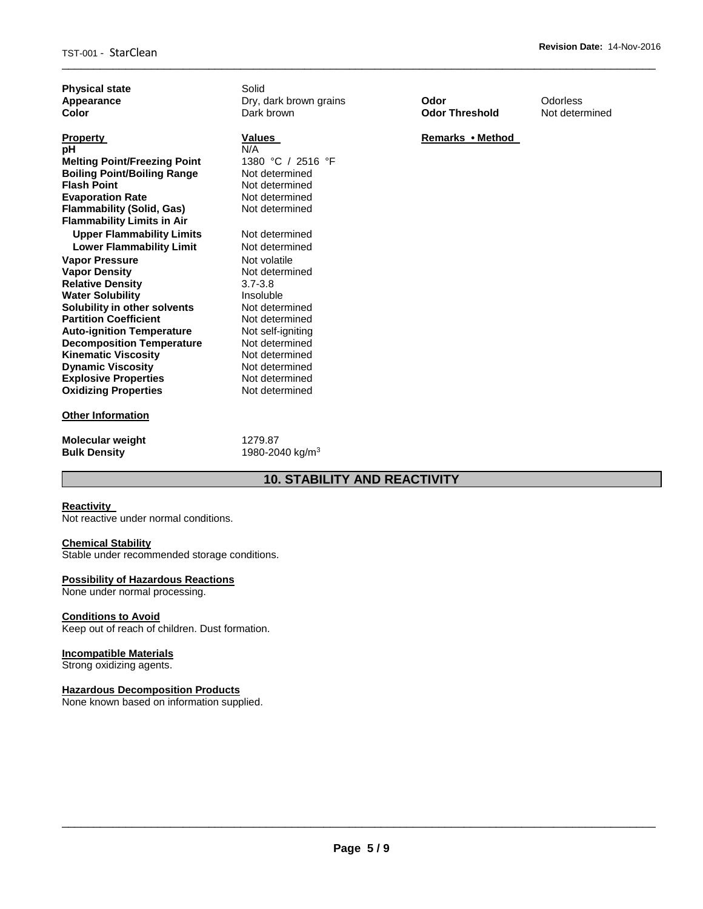| <b>Physical state</b><br>Appearance<br>Color                                                                                                                                                                                                                                                                                                                                                                                                                                                                                                                                                                                                                               | Solid<br>Dry, dark brown grains<br>Dark brown                                                                                                                                                                                                                                                                                                                   | Odor<br><b>Odor Threshold</b> | Odorless<br>Not determined |
|----------------------------------------------------------------------------------------------------------------------------------------------------------------------------------------------------------------------------------------------------------------------------------------------------------------------------------------------------------------------------------------------------------------------------------------------------------------------------------------------------------------------------------------------------------------------------------------------------------------------------------------------------------------------------|-----------------------------------------------------------------------------------------------------------------------------------------------------------------------------------------------------------------------------------------------------------------------------------------------------------------------------------------------------------------|-------------------------------|----------------------------|
| <b>Property</b><br>pH<br><b>Melting Point/Freezing Point</b><br><b>Boiling Point/Boiling Range</b><br><b>Flash Point</b><br><b>Evaporation Rate</b><br><b>Flammability (Solid, Gas)</b><br><b>Flammability Limits in Air</b><br><b>Upper Flammability Limits</b><br><b>Lower Flammability Limit</b><br><b>Vapor Pressure</b><br><b>Vapor Density</b><br><b>Relative Density</b><br><b>Water Solubility</b><br>Solubility in other solvents<br><b>Partition Coefficient</b><br><b>Auto-ignition Temperature</b><br><b>Decomposition Temperature</b><br><b>Kinematic Viscosity</b><br><b>Dynamic Viscosity</b><br><b>Explosive Properties</b><br><b>Oxidizing Properties</b> | Values<br>N/A<br>1380 °C / 2516 °F<br>Not determined<br>Not determined<br>Not determined<br>Not determined<br>Not determined<br>Not determined<br>Not volatile<br>Not determined<br>$3.7 - 3.8$<br>Insoluble<br>Not determined<br>Not determined<br>Not self-igniting<br>Not determined<br>Not determined<br>Not determined<br>Not determined<br>Not determined | Remarks • Method              |                            |
| <b>Other Information</b>                                                                                                                                                                                                                                                                                                                                                                                                                                                                                                                                                                                                                                                   |                                                                                                                                                                                                                                                                                                                                                                 |                               |                            |
| <b>Molecular weight</b><br><b>Bulk Density</b>                                                                                                                                                                                                                                                                                                                                                                                                                                                                                                                                                                                                                             | 1279.87<br>1980-2040 kg/m <sup>3</sup>                                                                                                                                                                                                                                                                                                                          |                               |                            |

\_\_\_\_\_\_\_\_\_\_\_\_\_\_\_\_\_\_\_\_\_\_\_\_\_\_\_\_\_\_\_\_\_\_\_\_\_\_\_\_\_\_\_\_\_\_\_\_\_\_\_\_\_\_\_\_\_\_\_\_\_\_\_\_\_\_\_\_\_\_\_\_\_\_\_\_\_\_\_\_\_\_\_\_\_\_\_\_\_\_\_\_\_

# **10. STABILITY AND REACTIVITY**

### **Reactivity**

Not reactive under normal conditions.

# **Chemical Stability**

Stable under recommended storage conditions.

# **Possibility of Hazardous Reactions**

None under normal processing.

# **Conditions to Avoid**

Keep out of reach of children. Dust formation.

# **Incompatible Materials**

Strong oxidizing agents.

# **Hazardous Decomposition Products**

None known based on information supplied.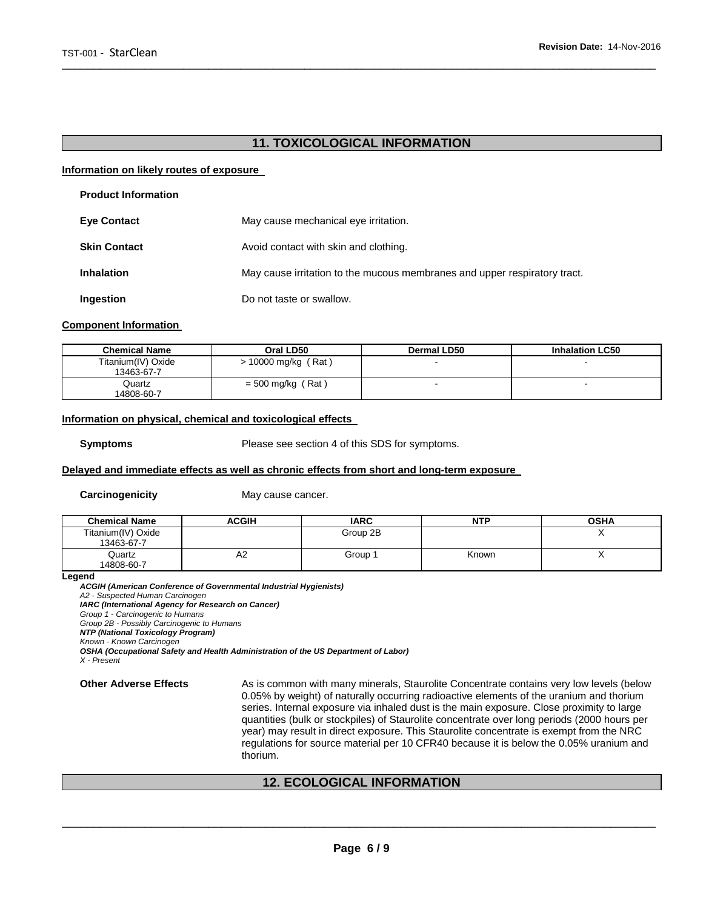# **11. TOXICOLOGICAL INFORMATION**

\_\_\_\_\_\_\_\_\_\_\_\_\_\_\_\_\_\_\_\_\_\_\_\_\_\_\_\_\_\_\_\_\_\_\_\_\_\_\_\_\_\_\_\_\_\_\_\_\_\_\_\_\_\_\_\_\_\_\_\_\_\_\_\_\_\_\_\_\_\_\_\_\_\_\_\_\_\_\_\_\_\_\_\_\_\_\_\_\_\_\_\_\_

### **Information on likely routes of exposure**

| <b>Product Information</b> |                                                                           |
|----------------------------|---------------------------------------------------------------------------|
| <b>Eye Contact</b>         | May cause mechanical eye irritation.                                      |
| <b>Skin Contact</b>        | Avoid contact with skin and clothing.                                     |
| <b>Inhalation</b>          | May cause irritation to the mucous membranes and upper respiratory tract. |
| Ingestion                  | Do not taste or swallow.                                                  |

### **Component Information**

| <b>Chemical Name</b>             | Oral LD50             | <b>Dermal LD50</b> | <b>Inhalation LC50</b>   |
|----------------------------------|-----------------------|--------------------|--------------------------|
| Titanium(IV) Oxide<br>13463-67-7 | $> 10000$ mg/kg (Rat) |                    | $\overline{\phantom{0}}$ |
| Quartz<br>14808-60-7             | $= 500$ mg/kg (Rat)   |                    |                          |

### **Information on physical, chemical and toxicological effects**

**Symptoms** Please see section 4 of this SDS for symptoms.

### **Delayed and immediate effects as well as chronic effects from short and long-term exposure**

**Carcinogenicity May cause cancer.** 

| <b>Chemical Name</b>             | ACGIH | <b>IARC</b> | <b>NTP</b> | <b>OSHA</b> |
|----------------------------------|-------|-------------|------------|-------------|
| Titanium(IV) Oxide<br>13463-67-7 |       | Group 2B    |            |             |
| Quartz<br>14808-60-7             | A2    | Group 1     | Known      |             |

**Legend** 

*ACGIH (American Conference of Governmental Industrial Hygienists) A2 - Suspected Human Carcinogen IARC (International Agency for Research on Cancer) Group 1 - Carcinogenic to Humans Group 2B - Possibly Carcinogenic to Humans NTP (National Toxicology Program) Known - Known Carcinogen OSHA (Occupational Safety and Health Administration of the US Department of Labor)*

*X - Present* 

**Other Adverse Effects** As is common with many minerals, Staurolite Concentrate contains very low levels (below 0.05% by weight) of naturally occurring radioactive elements of the uranium and thorium series. Internal exposure via inhaled dust is the main exposure. Close proximity to large quantities (bulk or stockpiles) of Staurolite concentrate over long periods (2000 hours per year) may result in direct exposure. This Staurolite concentrate is exempt from the NRC regulations for source material per 10 CFR40 because it is below the 0.05% uranium and thorium.

# **12. ECOLOGICAL INFORMATION**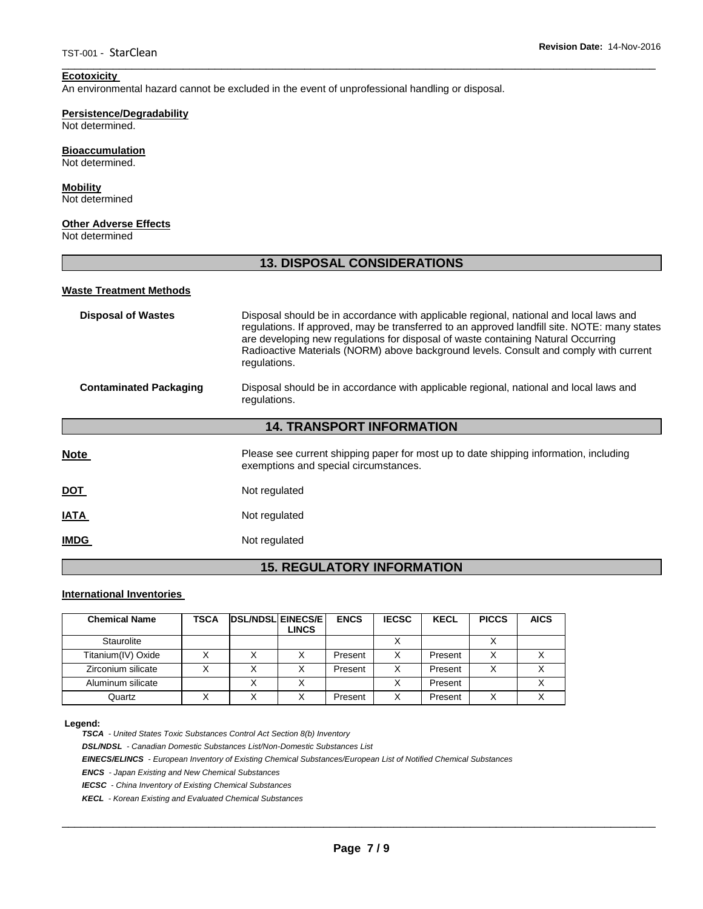# **Ecotoxicity**

An environmental hazard cannot be excluded in the event of unprofessional handling or disposal.

# **Persistence/Degradability**

Not determined.

#### **Bioaccumulation** Not determined.

# **Mobility**

Not determined

# **Other Adverse Effects**

Not determined

# **13. DISPOSAL CONSIDERATIONS**

\_\_\_\_\_\_\_\_\_\_\_\_\_\_\_\_\_\_\_\_\_\_\_\_\_\_\_\_\_\_\_\_\_\_\_\_\_\_\_\_\_\_\_\_\_\_\_\_\_\_\_\_\_\_\_\_\_\_\_\_\_\_\_\_\_\_\_\_\_\_\_\_\_\_\_\_\_\_\_\_\_\_\_\_\_\_\_\_\_\_\_\_\_

### **Waste Treatment Methods**

| <b>Disposal of Wastes</b>        | Disposal should be in accordance with applicable regional, national and local laws and<br>regulations. If approved, may be transferred to an approved landfill site. NOTE: many states<br>are developing new regulations for disposal of waste containing Natural Occurring<br>Radioactive Materials (NORM) above background levels. Consult and comply with current<br>regulations. |  |  |  |  |
|----------------------------------|--------------------------------------------------------------------------------------------------------------------------------------------------------------------------------------------------------------------------------------------------------------------------------------------------------------------------------------------------------------------------------------|--|--|--|--|
| <b>Contaminated Packaging</b>    | Disposal should be in accordance with applicable regional, national and local laws and<br>regulations.                                                                                                                                                                                                                                                                               |  |  |  |  |
| <b>14. TRANSPORT INFORMATION</b> |                                                                                                                                                                                                                                                                                                                                                                                      |  |  |  |  |
| <b>Note</b>                      | Please see current shipping paper for most up to date shipping information, including<br>exemptions and special circumstances.                                                                                                                                                                                                                                                       |  |  |  |  |
| <b>DOT</b>                       | Not regulated                                                                                                                                                                                                                                                                                                                                                                        |  |  |  |  |
| <b>IATA</b>                      | Not regulated                                                                                                                                                                                                                                                                                                                                                                        |  |  |  |  |
| <b>IMDG</b>                      | Not regulated                                                                                                                                                                                                                                                                                                                                                                        |  |  |  |  |

# **15. REGULATORY INFORMATION**

# **International Inventories**

| <b>Chemical Name</b> | TSCA | <b>DSL/NDSL EINECS/E</b> | <b>LINCS</b> | <b>ENCS</b> | <b>IECSC</b> | <b>KECL</b> | <b>PICCS</b> | <b>AICS</b> |
|----------------------|------|--------------------------|--------------|-------------|--------------|-------------|--------------|-------------|
| Staurolite           |      |                          |              |             |              |             |              |             |
| Titanium(IV) Oxide   |      | X                        |              | Present     | х            | Present     |              |             |
| Zirconium silicate   |      |                          |              | Present     |              | Present     |              |             |
| Aluminum silicate    |      | X                        |              |             |              | Present     |              |             |
| Quartz               |      |                          |              | Present     |              | Present     |              |             |

#### **Legend:**

*TSCA - United States Toxic Substances Control Act Section 8(b) Inventory* 

*DSL/NDSL - Canadian Domestic Substances List/Non-Domestic Substances List* 

*EINECS/ELINCS - European Inventory of Existing Chemical Substances/European List of Notified Chemical Substances* 

*ENCS - Japan Existing and New Chemical Substances* 

*IECSC - China Inventory of Existing Chemical Substances* 

*KECL - Korean Existing and Evaluated Chemical Substances*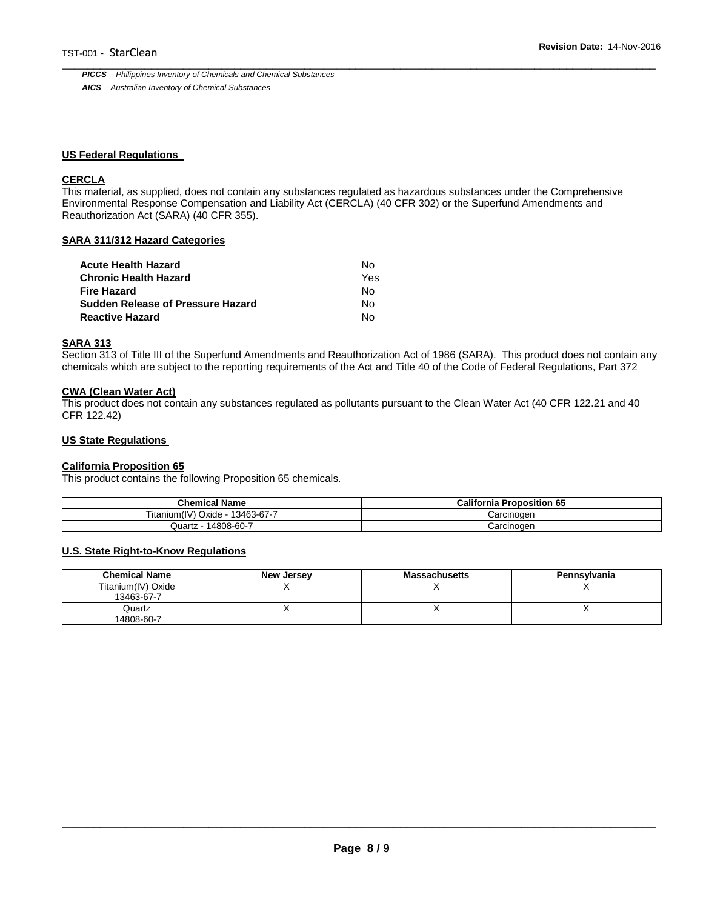\_\_\_\_\_\_\_\_\_\_\_\_\_\_\_\_\_\_\_\_\_\_\_\_\_\_\_\_\_\_\_\_\_\_\_\_\_\_\_\_\_\_\_\_\_\_\_\_\_\_\_\_\_\_\_\_\_\_\_\_\_\_\_\_\_\_\_\_\_\_\_\_\_\_\_\_\_\_\_\_\_\_\_\_\_\_\_\_\_\_\_\_\_ *PICCS - Philippines Inventory of Chemicals and Chemical Substances AICS - Australian Inventory of Chemical Substances* 

### **US Federal Regulations**

# **CERCLA**

This material, as supplied, does not contain any substances regulated as hazardous substances under the Comprehensive Environmental Response Compensation and Liability Act (CERCLA) (40 CFR 302) or the Superfund Amendments and Reauthorization Act (SARA) (40 CFR 355).

### **SARA 311/312 Hazard Categories**

| Acute Health Hazard               | N٥  |
|-----------------------------------|-----|
| Chronic Health Hazard             | Yes |
| Fire Hazard                       | N٥  |
| Sudden Release of Pressure Hazard | N٥  |
| Reactive Hazard                   | N٥  |

### **SARA 313**

Section 313 of Title III of the Superfund Amendments and Reauthorization Act of 1986 (SARA). This product does not contain any chemicals which are subject to the reporting requirements of the Act and Title 40 of the Code of Federal Regulations, Part 372

### **CWA (Clean Water Act)**

This product does not contain any substances regulated as pollutants pursuant to the Clean Water Act (40 CFR 122.21 and 40 CFR 122.42)

### **US State Regulations**

# **California Proposition 65**

This product contains the following Proposition 65 chemicals.

| <b>Chemical Name</b>                          | California P<br>Proposition 65 |  |
|-----------------------------------------------|--------------------------------|--|
| (11.1)<br>Oxide<br>13463-67-7<br>i itanıum(I\ | Carcinogen                     |  |
| 14808-60-7<br>Quartz                          | Carcinogen                     |  |

#### **U.S. State Right-to-Know Regulations**

| <b>Chemical Name</b>             | <b>New Jersey</b> | <b>Massachusetts</b> | Pennsylvania |
|----------------------------------|-------------------|----------------------|--------------|
| Titanium(IV) Oxide<br>13463-67-7 |                   |                      |              |
| Quartz<br>14808-60-7             |                   |                      |              |